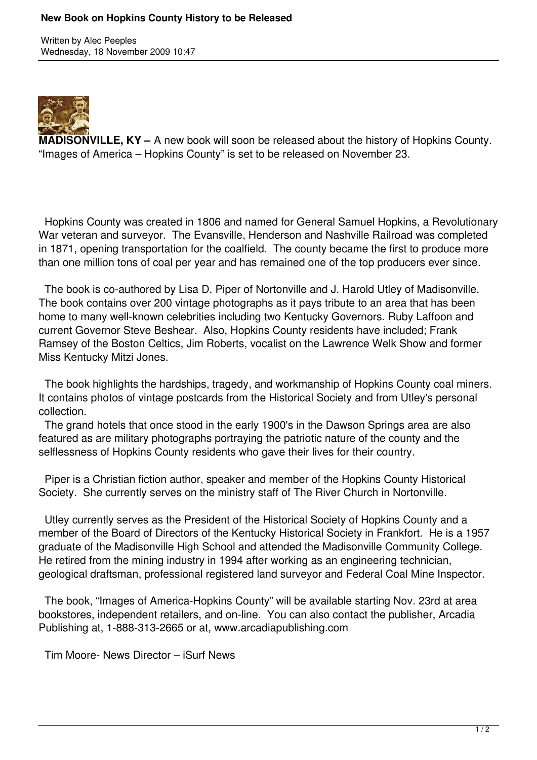## **New Book on Hopkins County History to be Released**

Written by Alec Peeples Wednesday, 18 November 2009 10:47



**MADISONVILLE, KY –** A new book will soon be released about the history of Hopkins County. "Images of America – Hopkins County" is set to be released on November 23.

 Hopkins County was created in 1806 and named for General Samuel Hopkins, a Revolutionary War veteran and surveyor. The Evansville, Henderson and Nashville Railroad was completed in 1871, opening transportation for the coalfield. The county became the first to produce more than one million tons of coal per year and has remained one of the top producers ever since.

 The book is co-authored by Lisa D. Piper of Nortonville and J. Harold Utley of Madisonville. The book contains over 200 vintage photographs as it pays tribute to an area that has been home to many well-known celebrities including two Kentucky Governors. Ruby Laffoon and current Governor Steve Beshear. Also, Hopkins County residents have included; Frank Ramsey of the Boston Celtics, Jim Roberts, vocalist on the Lawrence Welk Show and former Miss Kentucky Mitzi Jones.

 The book highlights the hardships, tragedy, and workmanship of Hopkins County coal miners. It contains photos of vintage postcards from the Historical Society and from Utley's personal collection.

 The grand hotels that once stood in the early 1900's in the Dawson Springs area are also featured as are military photographs portraying the patriotic nature of the county and the selflessness of Hopkins County residents who gave their lives for their country.

 Piper is a Christian fiction author, speaker and member of the Hopkins County Historical Society. She currently serves on the ministry staff of The River Church in Nortonville.

 Utley currently serves as the President of the Historical Society of Hopkins County and a member of the Board of Directors of the Kentucky Historical Society in Frankfort. He is a 1957 graduate of the Madisonville High School and attended the Madisonville Community College. He retired from the mining industry in 1994 after working as an engineering technician, geological draftsman, professional registered land surveyor and Federal Coal Mine Inspector.

 The book, "Images of America-Hopkins County" will be available starting Nov. 23rd at area bookstores, independent retailers, and on-line. You can also contact the publisher, Arcadia Publishing at, 1-888-313-2665 or at, www.arcadiapublishing.com

Tim Moore- News Director – iSurf News